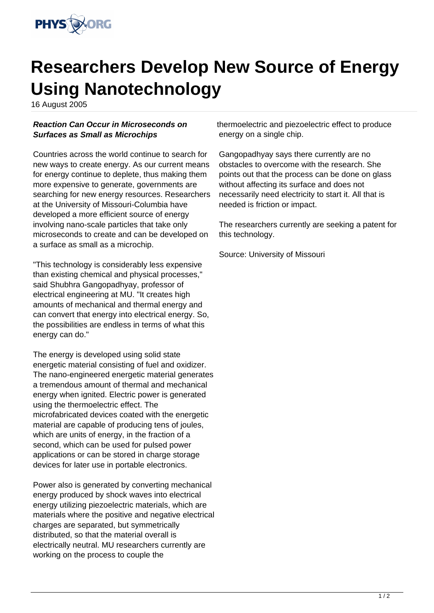

## **Researchers Develop New Source of Energy Using Nanotechnology**

16 August 2005

## **Reaction Can Occur in Microseconds on Surfaces as Small as Microchips**

Countries across the world continue to search for new ways to create energy. As our current means for energy continue to deplete, thus making them more expensive to generate, governments are searching for new energy resources. Researchers at the University of Missouri-Columbia have developed a more efficient source of energy involving nano-scale particles that take only microseconds to create and can be developed on a surface as small as a microchip.

"This technology is considerably less expensive than existing chemical and physical processes," said Shubhra Gangopadhyay, professor of electrical engineering at MU. "It creates high amounts of mechanical and thermal energy and can convert that energy into electrical energy. So, the possibilities are endless in terms of what this energy can do."

The energy is developed using solid state energetic material consisting of fuel and oxidizer. The nano-engineered energetic material generates a tremendous amount of thermal and mechanical energy when ignited. Electric power is generated using the thermoelectric effect. The microfabricated devices coated with the energetic material are capable of producing tens of joules, which are units of energy, in the fraction of a second, which can be used for pulsed power applications or can be stored in charge storage devices for later use in portable electronics.

Power also is generated by converting mechanical energy produced by shock waves into electrical energy utilizing piezoelectric materials, which are materials where the positive and negative electrical charges are separated, but symmetrically distributed, so that the material overall is electrically neutral. MU researchers currently are working on the process to couple the

thermoelectric and piezoelectric effect to produce energy on a single chip.

Gangopadhyay says there currently are no obstacles to overcome with the research. She points out that the process can be done on glass without affecting its surface and does not necessarily need electricity to start it. All that is needed is friction or impact.

The researchers currently are seeking a patent for this technology.

Source: University of Missouri